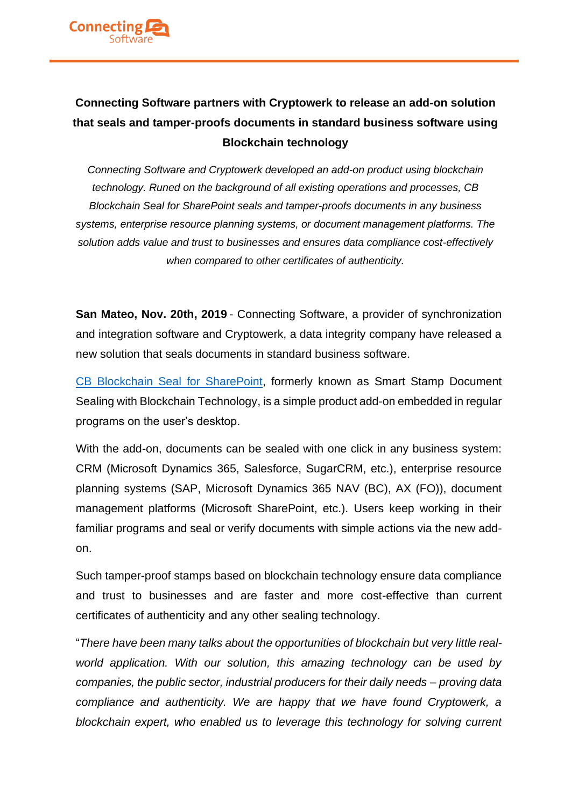

## **Connecting Software partners with Cryptowerk to release an add-on solution that seals and tamper-proofs documents in standard business software using Blockchain technology**

*Connecting Software and Cryptowerk developed an add-on product using blockchain technology. Runed on the background of all existing operations and processes, CB Blockchain Seal for SharePoint seals and tamper-proofs documents in any business systems, enterprise resource planning systems, or document management platforms. The solution adds value and trust to businesses and ensures data compliance cost-effectively when compared to other certificates of authenticity.*

**San Mateo, Nov. 20th, 2019** - Connecting Software, a provider of synchronization and integration software and Cryptowerk, a data integrity company have released a new solution that seals documents in standard business software.

[CB Blockchain Seal for SharePoint,](https://www.connecting-software.com/cb-digital-seal-for-sharepoint-with-blockchain-technology/) formerly known as Smart Stamp Document Sealing with Blockchain Technology, is a simple product add-on embedded in regular programs on the user's desktop.

With the add-on, documents can be sealed with one click in any business system: CRM (Microsoft Dynamics 365, Salesforce, SugarCRM, etc.), enterprise resource planning systems (SAP, Microsoft Dynamics 365 NAV (BC), AX (FO)), document management platforms (Microsoft SharePoint, etc.). Users keep working in their familiar programs and seal or verify documents with simple actions via the new addon.

Such tamper-proof stamps based on blockchain technology ensure data compliance and trust to businesses and are faster and more cost-effective than current certificates of authenticity and any other sealing technology.

"*There have been many talks about the opportunities of blockchain but very little realworld application. With our solution, this amazing technology can be used by companies, the public sector, industrial producers for their daily needs – proving data compliance and authenticity. We are happy that we have found Cryptowerk, a blockchain expert, who enabled us to leverage this technology for solving current*